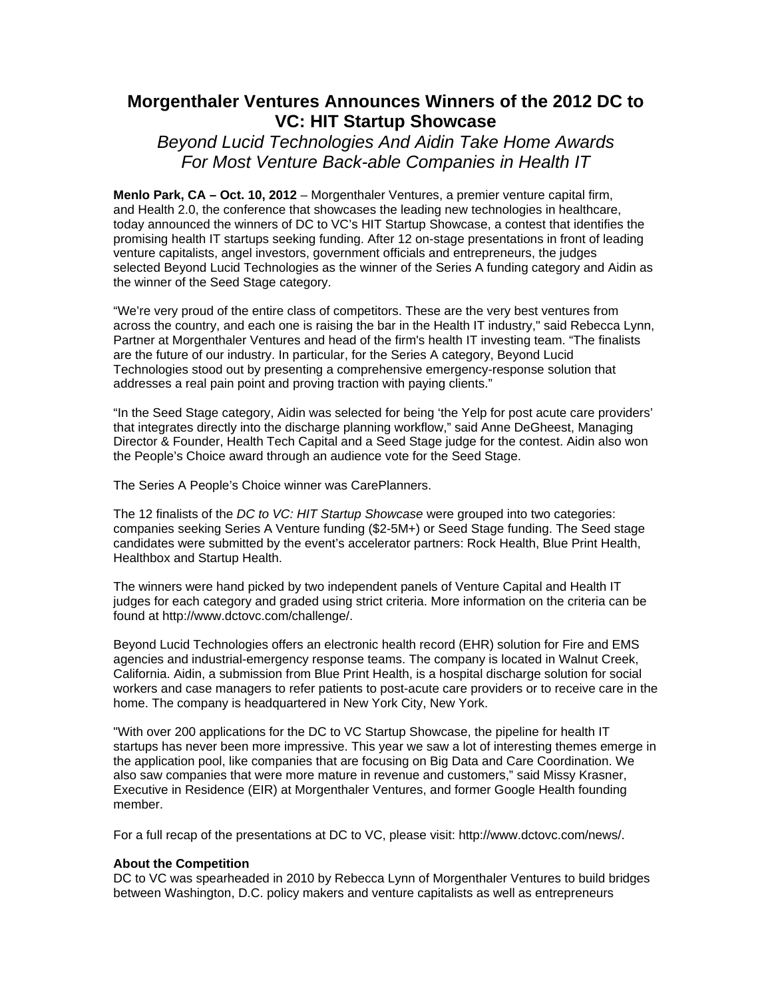# **Morgenthaler Ventures Announces Winners of the 2012 DC to VC: HIT Startup Showcase**

*Beyond Lucid Technologies And Aidin Take Home Awards For Most Venture Back-able Companies in Health IT*

**Menlo Park, CA – Oct. 10, 2012** – Morgenthaler Ventures, a premier venture capital firm, and Health 2.0, the conference that showcases the leading new technologies in healthcare, today announced the winners of DC to VC's HIT Startup Showcase, a contest that identifies the promising health IT startups seeking funding. After 12 on-stage presentations in front of leading venture capitalists, angel investors, government officials and entrepreneurs, the judges selected Beyond Lucid Technologies as the winner of the Series A funding category and Aidin as the winner of the Seed Stage category.

"We're very proud of the entire class of competitors. These are the very best ventures from across the country, and each one is raising the bar in the Health IT industry," said Rebecca Lynn, Partner at Morgenthaler Ventures and head of the firm's health IT investing team. "The finalists are the future of our industry. In particular, for the Series A category, Beyond Lucid Technologies stood out by presenting a comprehensive emergency-response solution that addresses a real pain point and proving traction with paying clients."

"In the Seed Stage category, Aidin was selected for being 'the Yelp for post acute care providers' that integrates directly into the discharge planning workflow," said Anne DeGheest, Managing Director & Founder, Health Tech Capital and a Seed Stage judge for the contest. Aidin also won the People's Choice award through an audience vote for the Seed Stage.

The Series A People's Choice winner was CarePlanners.

The 12 finalists of the *DC to VC: HIT Startup Showcase* were grouped into two categories: companies seeking Series A Venture funding (\$2-5M+) or Seed Stage funding. The Seed stage candidates were submitted by the event's accelerator partners: Rock Health, Blue Print Health, Healthbox and Startup Health.

The winners were hand picked by two independent panels of Venture Capital and Health IT judges for each category and graded using strict criteria. More information on the criteria can be found at http://www.dctovc.com/challenge/.

Beyond Lucid Technologies offers an electronic health record (EHR) solution for Fire and EMS agencies and industrial-emergency response teams. The company is located in Walnut Creek, California. Aidin, a submission from Blue Print Health, is a hospital discharge solution for social workers and case managers to refer patients to post-acute care providers or to receive care in the home. The company is headquartered in New York City, New York.

"With over 200 applications for the DC to VC Startup Showcase, the pipeline for health IT startups has never been more impressive. This year we saw a lot of interesting themes emerge in the application pool, like companies that are focusing on Big Data and Care Coordination. We also saw companies that were more mature in revenue and customers," said Missy Krasner, Executive in Residence (EIR) at Morgenthaler Ventures, and former Google Health founding member.

For a full recap of the presentations at DC to VC, please visit: http://www.dctovc.com/news/.

# **About the Competition**

DC to VC was spearheaded in 2010 by Rebecca Lynn of Morgenthaler Ventures to build bridges between Washington, D.C. policy makers and venture capitalists as well as entrepreneurs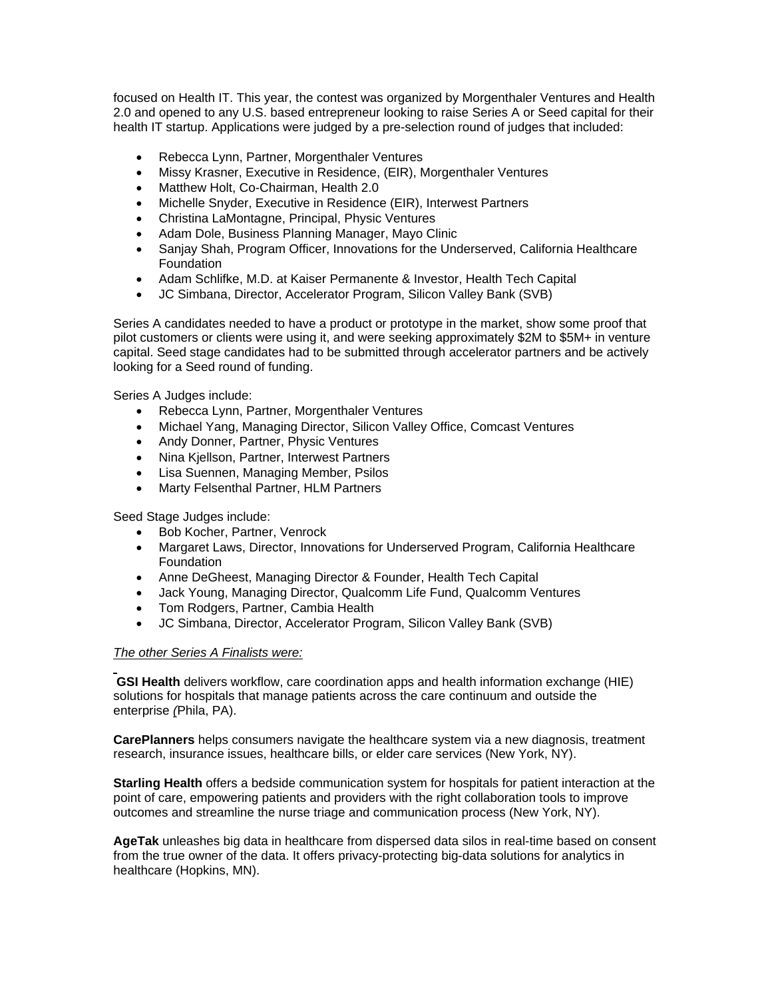focused on Health IT. This year, the contest was organized by Morgenthaler Ventures and Health 2.0 and opened to any U.S. based entrepreneur looking to raise Series A or Seed capital for their health IT startup. Applications were judged by a pre-selection round of judges that included:

- Rebecca Lynn, Partner, Morgenthaler Ventures
- Missy Krasner, Executive in Residence, (EIR), Morgenthaler Ventures
- Matthew Holt, Co-Chairman, Health 2.0
- Michelle Snyder, Executive in Residence (EIR), Interwest Partners
- Christina LaMontagne, Principal, Physic Ventures
- Adam Dole, Business Planning Manager, Mayo Clinic
- Sanjay Shah, Program Officer, Innovations for the Underserved, California Healthcare **Foundation**
- Adam Schlifke, M.D. at Kaiser Permanente & Investor, Health Tech Capital
- JC Simbana, Director, Accelerator Program, Silicon Valley Bank (SVB)

Series A candidates needed to have a product or prototype in the market, show some proof that pilot customers or clients were using it, and were seeking approximately \$2M to \$5M+ in venture capital. Seed stage candidates had to be submitted through accelerator partners and be actively looking for a Seed round of funding.

Series A Judges include:

- Rebecca Lynn, Partner, Morgenthaler Ventures
- Michael Yang, Managing Director, Silicon Valley Office, Comcast Ventures
- Andy Donner, Partner, Physic Ventures
- Nina Kjellson, Partner, Interwest Partners
- Lisa Suennen, Managing Member, Psilos
- Marty Felsenthal Partner, HLM Partners

Seed Stage Judges include:

- Bob Kocher, Partner, Venrock
- Margaret Laws, Director, Innovations for Underserved Program, California Healthcare Foundation
- Anne DeGheest, Managing Director & Founder, Health Tech Capital
- Jack Young, Managing Director, Qualcomm Life Fund, Qualcomm Ventures
- Tom Rodgers, Partner, Cambia Health
- JC Simbana, Director, Accelerator Program, Silicon Valley Bank (SVB)

# *The other Series A Finalists were:*

**GSI Health** delivers workflow, care coordination apps and health information exchange (HIE) solutions for hospitals that manage patients across the care continuum and outside the enterprise *(*Phila, PA).

**CarePlanners** helps consumers navigate the healthcare system via a new diagnosis, treatment research, insurance issues, healthcare bills, or elder care services (New York, NY).

**Starling Health** offers a bedside communication system for hospitals for patient interaction at the point of care, empowering patients and providers with the right collaboration tools to improve outcomes and streamline the nurse triage and communication process (New York, NY).

**AgeTak** unleashes big data in healthcare from dispersed data silos in real-time based on consent from the true owner of the data. It offers privacy-protecting big-data solutions for analytics in healthcare (Hopkins, MN).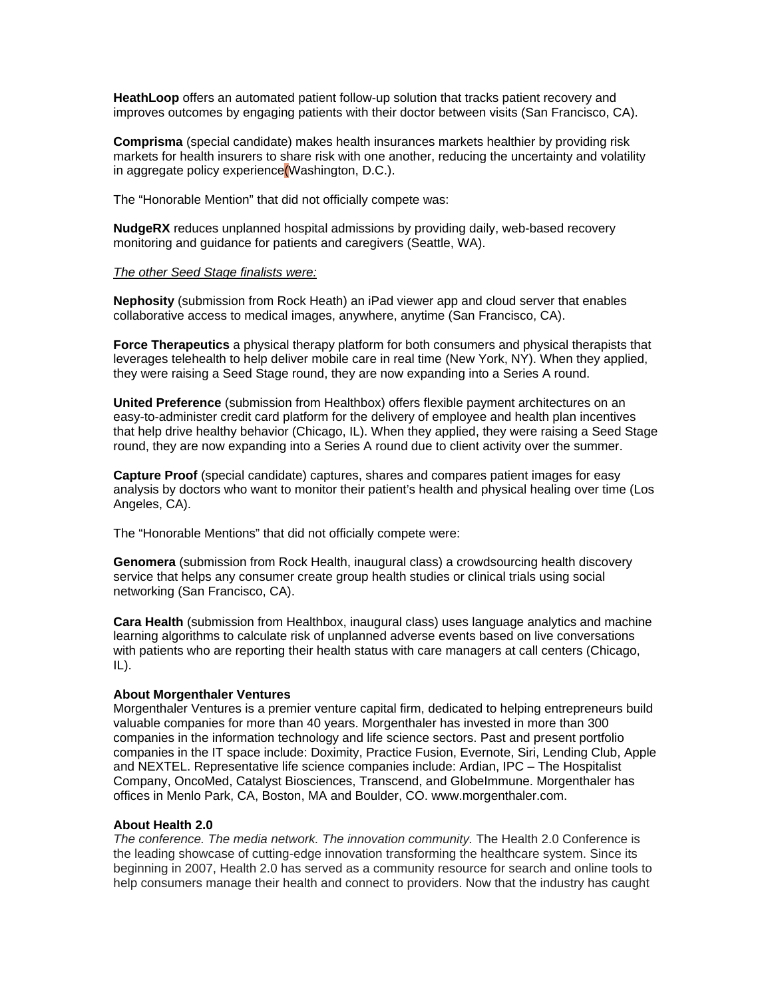**HeathLoop** offers an automated patient follow-up solution that tracks patient recovery and improves outcomes by engaging patients with their doctor between visits (San Francisco, CA).

**Comprisma** (special candidate) makes health insurances markets healthier by providing risk markets for health insurers to share risk with one another, reducing the uncertainty and volatility in aggregate policy experience(Washington, D.C.).

The "Honorable Mention" that did not officially compete was:

**NudgeRX** reduces unplanned hospital admissions by providing daily, web-based recovery monitoring and guidance for patients and caregivers (Seattle, WA).

#### *The other Seed Stage finalists were:*

**Nephosity** (submission from Rock Heath) an iPad viewer app and cloud server that enables collaborative access to medical images, anywhere, anytime (San Francisco, CA).

**Force Therapeutics** a physical therapy platform for both consumers and physical therapists that leverages telehealth to help deliver mobile care in real time (New York, NY). When they applied, they were raising a Seed Stage round, they are now expanding into a Series A round.

**United Preference** (submission from Healthbox) offers flexible payment architectures on an easy-to-administer credit card platform for the delivery of employee and health plan incentives that help drive healthy behavior (Chicago, IL). When they applied, they were raising a Seed Stage round, they are now expanding into a Series A round due to client activity over the summer.

**Capture Proof** (special candidate) captures, shares and compares patient images for easy analysis by doctors who want to monitor their patient's health and physical healing over time (Los Angeles, CA).

The "Honorable Mentions" that did not officially compete were:

**Genomera** (submission from Rock Health, inaugural class) a crowdsourcing health discovery service that helps any consumer create group health studies or clinical trials using social networking (San Francisco, CA).

**Cara Health** (submission from Healthbox, inaugural class) uses language analytics and machine learning algorithms to calculate risk of unplanned adverse events based on live conversations with patients who are reporting their health status with care managers at call centers (Chicago, IL).

# **About Morgenthaler Ventures**

Morgenthaler Ventures is a premier venture capital firm, dedicated to helping entrepreneurs build valuable companies for more than 40 years. Morgenthaler has invested in more than 300 companies in the information technology and life science sectors. Past and present portfolio companies in the IT space include: Doximity, Practice Fusion, Evernote, Siri, Lending Club, Apple and NEXTEL. Representative life science companies include: Ardian, IPC – The Hospitalist Company, OncoMed, Catalyst Biosciences, Transcend, and GlobeImmune. Morgenthaler has offices in Menlo Park, CA, Boston, MA and Boulder, CO. www.morgenthaler.com.

# **About Health 2.0**

*The conference. The media network. The innovation community.* The Health 2.0 Conference is the leading showcase of cutting-edge innovation transforming the healthcare system. Since its beginning in 2007, Health 2.0 has served as a community resource for search and online tools to help consumers manage their health and connect to providers. Now that the industry has caught